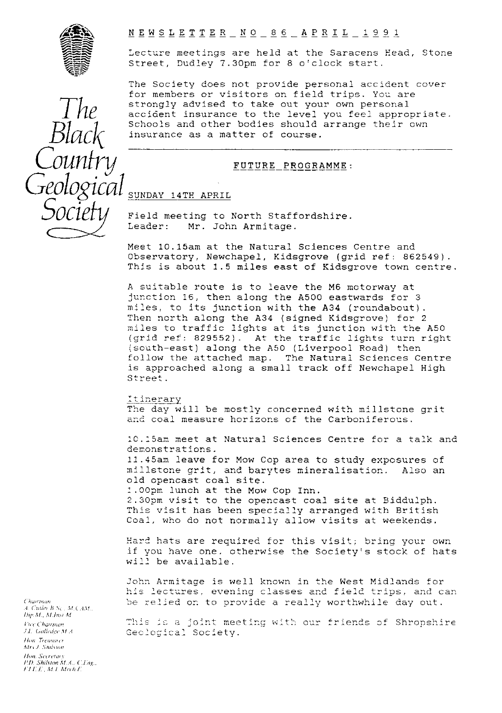

# NEWSLETTER NO 86 APRIL 1991

Lecture meetings are held at the Saracens Head, Stone Street, Dudley 7.30pm for 8 o'clock start.

The Society does not provide personal accident cover for members or visitors on field trips. You are strongly advised to take out your own personal accident insurance to the level you feel appropriate. Schools and other bodies should arrange their own insurance as a matter of course.

# FUTURE PROGRAMME:

# SUNDAY 14TH APRIL

Field meeting to North Staffordshire.<br>Leader: Mr. John Armitage. Mr. John Armitage.

Meet 10.15am at the Natural Sciences Centre and Observatory, Newchapel, Kidsgrove (grid ref: 862549). This is about 1.5 miles east of Kidsgrove town centre.

A suitable route is to leave the M6 motorway at junction 18, then along the A500 eastwards for 3 miles, to its junction with the A34 (roundabout). Then north along the A34 (signed Kidsgrove) for 2 miles to traffic lights at its junction with the A50 (grid ref: 829552). At the traffic lights turn right (south-east) along the A50 (Liverpool Road) then<br>follow the attached map. The Natural Sciences C The Natural Sciences Centre is approached along a small track off Newchapel High Street.

#### It inerary

The day will be mostly concerned with millstone grit and coal measure horizons of the Carboniferous.

10.15am meet at Natural Sciences Centre for a talk and demonstrations.

11.45am leave for Mow Cop area to study exposures of millstone grit, and barytes mineralisation. Also an old opencast coal site.

.00pm lunch at the Maw Cop Inn. 2.30pm visit to the opencast coal site at Biddulph. This visit has been specially arranged with British Coal, who do not normally allow visits at weekends.

Hard hats are required for this visit; bring your own if you have one, otherwise the Society's stock of hats will be available.

John Armitage is well known in the West Midlands for his lectures, evening classes and field trips, and can be relied on to provide a really worthwhile day out.

This is a joint meeting with our friends of Shropshire Geological Society.

*The* Black *Country Geological Socie*

. *Chairman*<br>A. *Cutler B* Sc., M. CAM., *Dil <sup>l</sup> Af . A (,lrnr Al* I'r^r (-harrman *I Lol<sup>r</sup> ri* r *<sup>t</sup>* Hon. Treasurer *Atry J. Shilvton Hon. Secretary I1) \$lultilnr AL <sup>A</sup> . (.l.i g,. II* f\_. L Af / Afrrh.i.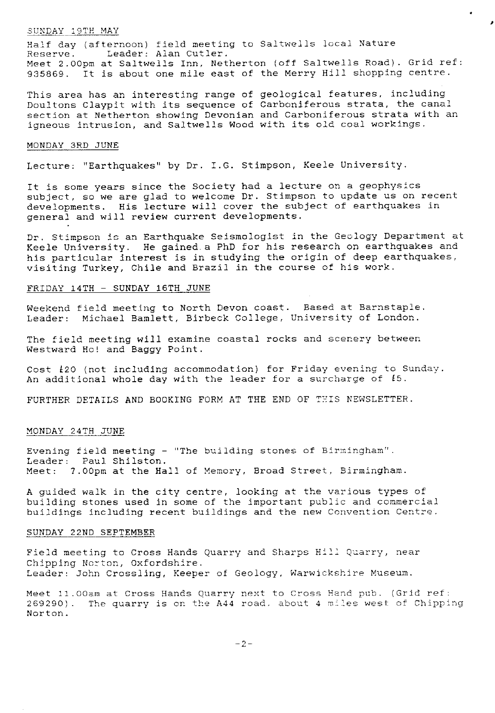#### *SUNDAY 19TH MAY*

Half day (afternoon) field meeting to Saltwells local Nature Reserve. Leader: Alan Cutler. Meet 2.00pm at Saltwells Inn, Netherton (off Saltwells Road). Grid ref: 935869. It is about one mile east of the Merry Hill shopping centre.

 $\overline{\phantom{a}}$ 

This area has an interesting range of geological features, including Doultons Claypit with its sequence of Carboniferous strata, the canal section at Netherton showing Devonian and Carboniferous strata with an igneous intrusion, and Saltwells Wood with its old coal workings.

#### MONDAY 3RD JUNE

Lecture: "Earthquakes" by Dr. I.G. Stimpson, Keele University.

It is some years since the Society had a lecture on a geophysics subject, so we are glad to welcome Dr. Stimpson to update us on recent developments. His lecture will cover the subject of earthquakes in general and will review current developments.

Dr. Stimpson is an Earthquake Seismologist in the Geology Department at Keele University. He gained a PhD for his research on earthquakes and his particular interest is in studying the origin of deep earthquakes, visiting Turkey, Chile and Brazil in the course of his work.

#### FRIDAY 14TH - SUNDAY 16TH JUNE

Weekend field meeting to North Devon coast. Based at Barnstaple. Leader: Michael Bamlett, Birbeck College, University of London.

The field meeting will examine coastal rocks and scenery between Westward Hc! and Baggy Point.

Cost  $\ell$ 20 (not including accommodation) for Friday evening to Sunday. An additional whole day with the leader for a surcharge of  $\ell$ 5.

FURTHER DETAILS AND BOOKING FORM AT THE END OF THIS NEWSLETTER.

# MONDAY 24TH JUNE

Evening field meeting - "The building stones of Birmingham". Leader: Paul Shilston. Meet: 7.00pm at the Hall of Memory, Broad Street, Birmingham.

A guided walk in the city centre, looking at the various types of building stones used in some of the important public and commercial buildings including recent buildings and the new Convention Centre.

# SUNDAY 22ND SEPTEMBER

Field meeting to Cross Hands Quarry and Sharps Hill Quarry, near Chipping Ncrton, Oxfordshire. Leader: John Crossling, Keeper of Geology, Warwickshire Museum.

*Meet 11.00am at Cross* Hands Quarry next to Cross Hand pub. (Grid ref: 269290). The quarry is on the A44 road, about 4 miles west of Chipping Norton.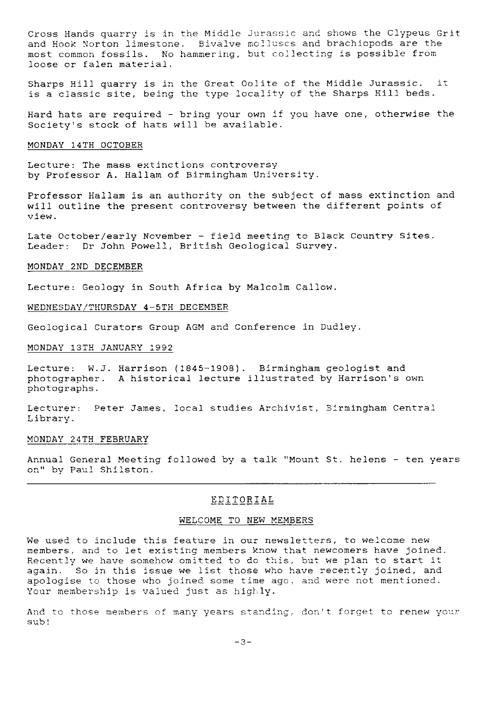Cross Hands quarry is in the Middle Jurassic and shows the Clypeus Grit and Hook Norton limestone. Bivalve molluscs and brachiopods are the most common fossils. No hammering, but collecting is possible from loose or falen material.

Sharps Hill quarry is in the Great Oolite of the Middle Jurassic, it is a classic site, being the type locality of the Sharps Hill beds.

Hard hats are required - bring your own if you have one, otherwise the Society's stock of hats will be available.

# MONDAY 14TH OCTOBER

Lecture: The mass extinctions controversy by Professor A. Hallam of Birmingham University.

Professor Hallam is an authority on the subject of mass extinction and will outline the present controversy between the different points of view.

Late October/early November - field meeting to Black Country Sites. Leader: Dr John Powell, British Geological Survey.

#### MONDAY 2ND DECEMBER

Lecture: Geology in South Africa by Malcolm Callow.

# WEDNESDAY/THURSDAY 4-5TH DECEMBER

Geological Curators Group AGM and Conference in Dudley.

# MONDAY 13TH JANUARY 1992

Lecture: W.J. Harrison (1845-1908). Birmingham geologist and photographer. A historical lecture illustrated by Harrison's own photographs.

Lecturer: Peter James, local studies Archivist, Birmingham Central Library.

# MONDAY 24TH FEBRUARY

Annual General Meeting followed by a talk "Mount St. helens - ten years on" by Paul Shilston.

# EDITORIAL

#### WELCOME TO NEW MEMBERS

We used to include this feature in our newsletters, to welcome new members, and to let existing members know that newcomers have joined. Recently we have somehow omitted to do this, but we plan to start it again. So in this issue we list those who have recently joined, and apologise to those who joined some time ago, and were not mentioned. Your membership is valued just as highly.

And to those members of many years standing, don't forget to renew your sub!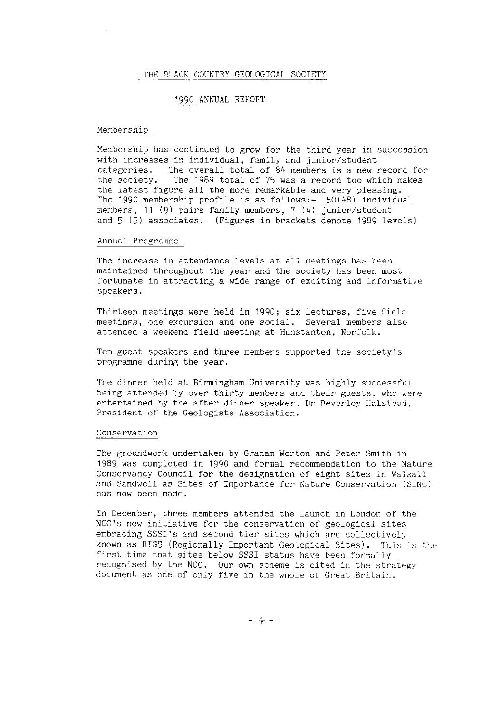#### THE BLACK COUNTRY GEOLOGICAL SOCIETY

#### 1990 ANNUAL REPORT

# Membership

Membership has continued to grow for the third year in succession with increases in individual, family and junior/student<br>categories. The overall total of 84 members is a new i The overall total of 84 members is a new record for the society. The 1989 total of 75 was a record too which makes the latest figure all the more remarkable and very pleasing. The 1990 membership profile is as follows:- 50(48) individual members, 11 (9) pairs family members, 7 (4) junior/student and 5 (5) associates. (Figures in brackets denote 1989 levels)

#### Annual. Programme

The increase in attendance levels at all meetings has been maintained throughout the year and the society has been most fortunate in attracting a wide range of exciting and informative speakers.

Thirteen meetings were held in 1990; six lectures, five field meetings, one excursion and one social. Several members also attended a weekend field meeting at Hunstanton, Norfolk.

Ten guest speakers and three members supported the society's programme during the year.

The dinner held at Birmingham University was highly successful being attended by over thirty members and their guests, who were entertained by the after dinner speaker, Dr Beverley Halstead, President of the Geologists Association.

#### Conservation

The groundwork undertaken by Graham Worton and Peter Smith in 1989 was completed in 1990 and formal recommendation to the Nature Conservancy Council for the designation of eight sites in Walsall and Sandwell as Sites of Importance for Nature Conservation (SINC) has now been made.

In December, three members attended the launch in London of the NCC's new initiative for the conservation of geological sites embracing SSSI's and second tier sites which are collectively known as RIGS (Regionally Important Geological Sites). This is the first time that sites below SSSI status have been formally recognised by the NCC. Our own scheme is cited in the strategy document as one of only five in the whole of Great Britain.

-4-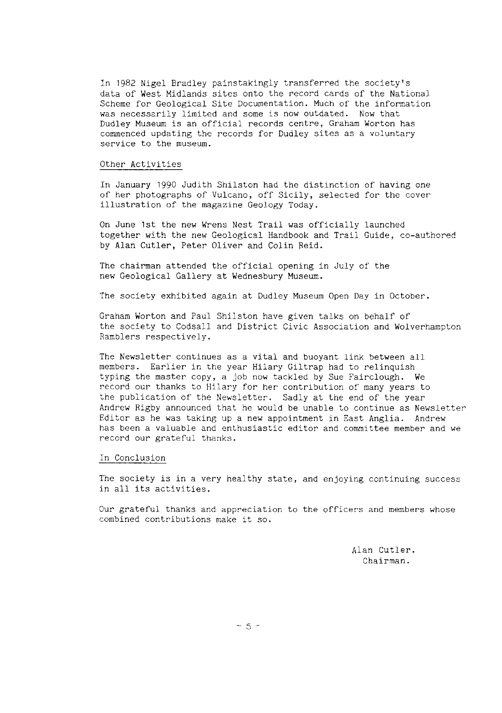In 1982 Nigel Bradley painstakingly transferred the society's data of West Midlands sites onto the record cards of the National Scheme for Geological Site Documentation. Much of the information was necessarily limited and some is now outdated. Now that Dudley Museum is an official records centre, Graham Worton has commenced updating the records for Dudley sites as a voluntary service to the museum.

#### Other Activities

In January 1990 Judith Shilston had the distinction of having one of her photographs of Vulcano, off Sicily, selected for the cover illustration of the magazine Geology Today.

On June 1st the new Wrens Nest Trail was officially launched together with the new Geological Handbook and Trail Guide, co-authored by Alan Cutler, Peter Oliver and Colin Reid.

The chairman attended the official opening in July of the new Geological Gallery at Wednesbury Museum.

The society exhibited again at Dudley Museum Open Day in October.

Graham Worton and Paul Shilston have given talks on behalf of the society to Codsall and District Civic Association and Wolverhampton Ramblers respectively.

The Newsletter continues as a vital and buoyant link between all members. Earlier in the year Hilary Giltrap had to relinquish typing the master copy, a job now tackled by Sue Fairclough. We record our thanks to Hilary for her contribution of many years to the publication of the Newsletter. Sadly at the end of the year Andrew Rigby announced that he would be unable to continue as Newsletter Editor as he was taking up a new appointment in East Anglia. Andrew has been a valuable and enthusiastic editor and committee member and we record our grateful thanks.

#### In Conclusion

The society is in a very healthy state, and enjoying continuing success in all its activities.

Our grateful thanks and appreciation to the officers and members whose combined contributions make it so.

> Alan Cutler. Chairman.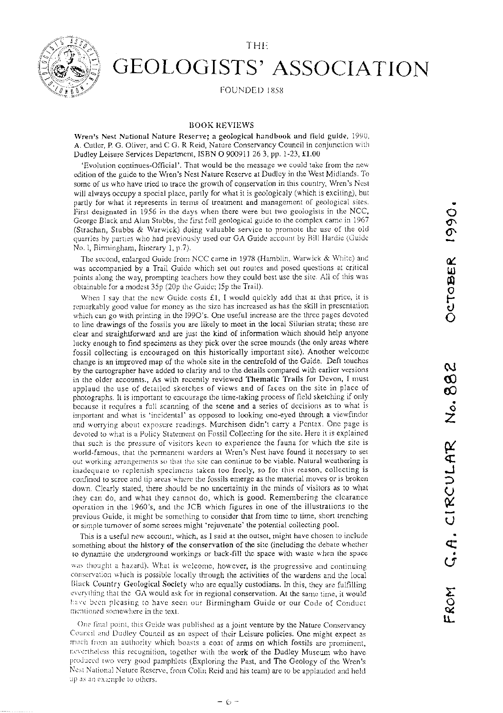

# GEOLOGISTS' ASSOCIATION

**FOUNDED 1858** 

# BOOK REVIEWS

Wren's Nest National Nature Reserve; a geological handbook and field guide, 1990, A. Cutler, P. G. Oliver, and C G. R Reid, Nature Conservancy Council in conjunction with Dudley Leisure Services Department, ISBN 0 900911 263, pp. 1-23, £1.00

`Evolution continues-Official'. That would be the message we could take from the new edition of the guide to the Wren's Nest Nature Reserve at Dudley in the West Midlands. To some of us who have tried to trace the growth of conservation in this country, Wren's Nest will always occupy a special place, partly for what it is geologicaly (which is exciling), but partly for what it represents in terms of treatment and management of geological sites. First designated in 1956 in the days when there were but two geologists in the NCC, George Black and Alan Stubbs, the first full geological guide to the complex came in 1967 (Strachan, Stubbs & Warwick) doing valuable service to promote the use of the old quarries by parties who had previously used our GA Guide account b<sup>y</sup> Bill Hardie (Guido No. 1, Birmingham, Itinerary 1, p.7).

The second, enlarged Guide front NCC cane in 1978 (Hamblin, Warwick & Whhc) and was accompanied by a Trail Guide which set out routes and posed questions at critical points along the way, prompting teachers how they could best use the site. All of this was obtainable for a modest 35p (20p the Guide; ISp the Trail).

When I say that the new Guide costs  $£1$ , I would quickly add that at that price, it is remarkably good value for money as the size has increased as has the skill in presentation which can go with printing in the 1990's. One useful increase are the three pages devoted to line drawings of the fossils you are likely to meet in the local Silurian strata; these are clear and straightforward and are just the kind of information which should help anyone lucky enough to find specimens as they pick over the scree mounds (the only areas where fossil collecting is encouraged on this historically important site). Another welcome change is an improved map of the whole site in the centrefold of the Guide. Deft touches by the cartographer have added to clarity and to the details compared with earlier versions in the older accounts., As with recently reviewed Thematic Trails for Devon, I must applaud the use of detailed sketches of views and of faces on the site in place of photographs. It is important to encourage the time-taking process of field sketching if only because it requires a full scanning of the scene and a series of decisions as to what is important and what is 'incidental' as opposed to looking one-eyed through a viewfinder and worrying about exposure readings. Murchison didn't carry a Pentax. One page is devoted to what is a Policy Statement on Fossil Collecting for the site. Here it is explained that such is the pressure of visitors keen to experience the fauna for which the site is world-famous, that the permanent warders at Wren's Nest have found it necessary to set out working arrangements so that the site can continue to be viable. Natural weathering is inadequate to replenish specimens taken too freely, so for this reason, collecting is confined to scree and tip areas where the fossils emerge as the material moves or is broken down. Clearly stated, there should be no uncertainty in the minds of visitors as to what they can do, and what they cannot do, which is good. Remembering the clearance operation in the 1960's, and the JCB which figures in one of the illustrations to the previous Guide, it might be something to consider that from time to time, short trenching or simple turnover of some screes might 'rejuvenate' the potential collecting pool.

This is a useful new account, which, as I said at the outset, might have chosen to include something about the history of the conservation of the site (including the debate whether to dynamite the underground workings or back-fill the space with waste when the space

was thought a hazard). What is welcome, however, is the progressive and continuing conservation which is possible locally through the activities of the wardens and the local Black Country Geological Society who are equally custodians. In this, they are fulfilling everything that the GA would ask for in regional conservation. At the same time, it would have been pleasing to have seen our Birmingham Guide or our Code of Conduct mentioned somewhere in the text.

One final point, this Guide was published as a joint venture by the Nature Conservancy Council and Dudley Council as an aspect of their Leisure policies. One might expect as much from an authority which boasts a coat of arms on which fossils are prominent, nevertheless this recognition, together with the work of the Dudley Museum who have produced two very good pamphlets (Exploring the Past, and The Geology of the Wren's Nest National Nature Reserve, front Colin Reid and his learn) are to be applauded and held up as an example to others.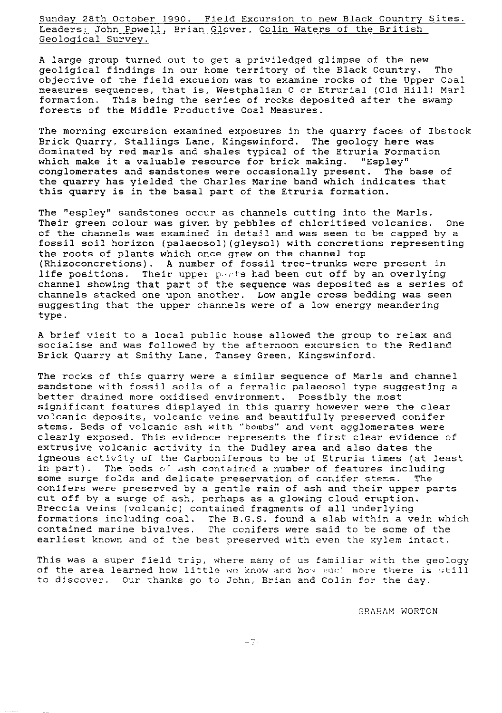Sunday 28th October 1990. Field Excursion to new Black Country Sites. Leaders: John Powell, Brian Glover, Colin Waters of the British Geological Survey.

A large group turned out to get a priviledged glimpse of the new geoligical findings in our home territory of the Black Country. The objective of the field excusion **was** to examine rocks of the Tipper Coal measures sequences, that is, Westphalian C or Etrurial (Old Hill) Marl formation. This being the series of rocks deposited after the swamp forests of the Middle Productive Coal Measures.

The morning excursion examined exposures in the quarry faces of Ibstock Brick Quarry, Stallings Lane, Kingswinford. The geology here was dominated by red marls and shales typical of the Etruria Formation which **make** it a valuable resource for brick making. "Espley" conglomerates and sandstones were occasionally present. The base of the quarry has yielded the Charles Marine band which indicates that this quarry is in the basal part of the Etruria formation.

The "espley" sandstones occur as channels cutting into the Marls. Their green colour was given by pebbles of chloritised volcanics. one of the channels was examined in detail and was seen to be capped by a fossil soil horizon (palaeosol) (gleysol) with concretions representing the roots of plants which once grew on the channel top ( Rhizoconcretions). A number of fossil tree-trunks were present in life positions. Their upper parts had been cut off by an overlying channel showing that part of the sequence was deposited as a series of channels stacked one upon another. Low angle cross bedding was seen suggesting that the upper channels were of a low energy meandering type.

A brief visit to a local public house allowed the group to relax and socialise and was followed by the afternoon excursion to the Redland Brick Quarry at Smithy Lane, Tansey Green, Kingswinford.

The rocks of this quarry were a similar sequence of Marls and channel sandstone with fossil soils of a ferralic palaeosol type suggesting a better drained more oxidised environment. Possibly the most significant features displayed in this quarry however were the clear volcanic deposits, volcanic veins and beautifully preserved conifer stems. Beds of volcanic ash with "bombs" and vent agglomerates were clearly exposed. This evidence represents the first clear evidence of extrusive volcanic activity in the Dudley area and also dates the igneous activity of the Carboniferous to be of Etruria times (at least in part). The beds of ash contained a number of features including<br>some surge folds and delicate preservation of conifer stems. The some surge folds and delicate preservation of conifer stems. conifers were preserved by a gentle rain of ash and their upper parts cut off by a surge of ash, perhaps as a glowing cloud eruption. Breccia veins (volcanic) contained fragments of all underlying formations including coal. The B.G.S. found a slab within a vein which contained marine bivalves. The conifers were said to be some of the earliest known and of the best preserved with even the xylem intact.

This was a super field trip, where many of us familiar with the geology of the area learned how little we know and how much more there is still to discover. Our thanks go to John, Brian and Colin for the day.

GRAHAM WORTON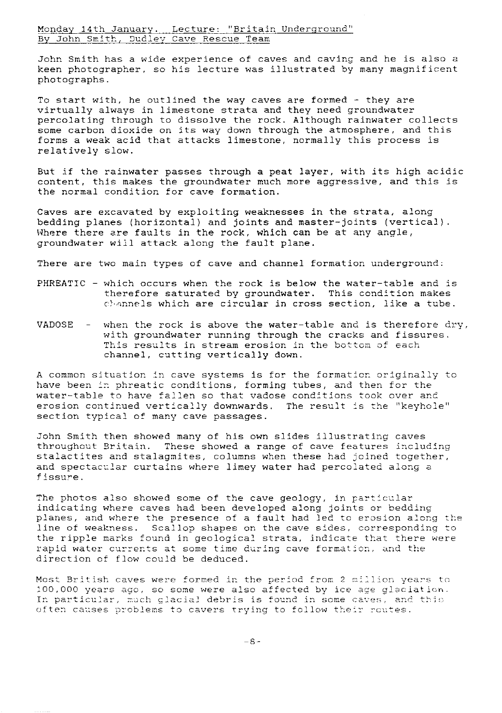Monday 14th January. Lecture: "Britain Underground" By John Smith, Dudley Cave Rescue Team

John Smith has a wide experience of caves and caving and he is also a keen photographer, so his lecture was illustrated by many magnificent photographs.

To start with, he outlined the way caves are formed  $-$  they are virtually always in limestone strata and they need groundwater percolating through to dissolve the rock. Although rainwater collects some carbon dioxide on its way down through the atmosphere, and this forms a weak acid that attacks limestone, normally this process is relatively slow.

But if the rainwater passes through a peat layer, with its high acidic content, this makes the groundwater much more aggressive, and this is the normal condition for cave formation.

Caves are excavated by exploiting weaknesses in the strata, along bedding planes (horizontal) and joints and master- joints (vertical). Where there are faults in the rock, which can be at any angle, groundwater will attack along the fault plane.

There are two main types of cave and channel formation underground:

- PHREATIC which occurs when the rock is below the water-table and is therefore saturated by groundwater. This condition makes c) annels which are circular in cross section, like a tube.
- VADOSE when the rock is above the water-table and is therefore dry, with groundwater running through the cracks and fissures. This results in stream erosion in the bottom of each channel, cutting vertically down.

A common situation in cave systems is for the formation originally to *have* been in phreatic conditions, forming tubes, and then for the water-table to have fallen so that vadose conditions took over and erosion continued vertically downwards. The result is the "keyhole" section typical of many cave passages.

John Smith then showed many of his own slides illustrating caves throughout Britain. These showed a range of cave features including stalactites and stalagmites, columns when these had joined together, and spectacular curtains where limey water had percolated along a fissure.

The photos also showed some of the cave geology, in particular indicating where caves had been developed along joints or bedding planes, and where the presence of a fault had led to erosion along the line of weakness. Scallop shapes on the cave sides, corresponding to the ripple marks found in geological strata, indicate that there were rapid water currents at some time during cave formation, and the direction of flow could be deduced.

Most British caves were formed in the period from 2 million years to 100,000 years ago, so some were also affected by ice ace glaciation. In particular, much glacial debris is found in some caves, and this often causes problems to cavers trying to follow their routes.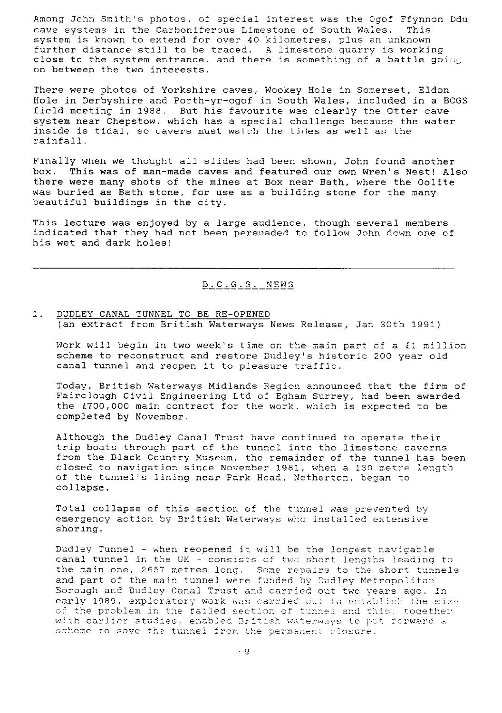Among John Smith's photos, of special interest was the Ogof Ffynnon Ddu<br>cave systems in the Carboniferous Limestone of South Wales. This cave systems in the Carboniferous Limestone of South Wales. system is known to extend for over 40 kilometres, plus an unknown further distance still to be traced. A limestone quarry is working close to the system entrance, and there is something of a battle going on between the two interests.

There were photos of Yorkshire caves, Wookey Hole in Somerset, Eldon Hole in Derbyshire and Porth-yr-ogof in South Wales, included in a BCGS field meeting in 1988. But his favourite was clearly the Otter cave system near Chepstow, which has a special challenge because the water inside is tidal, so cavers must watch the tides as well as the rainfall.

Finally when we thought all slides had been shown, John found another box. This was of man-made caves and featured our own Wren's Nest! Also there were many shots of the mines at Box near Bath, where the Oolite was buried as Bath stone, for use as a building stone for the many beautiful buildings in the city.

This lecture was enjoyed by a large audience, though several members indicated that they had not been persuaded to follow John down one of his wet and dark holes!

# B.C.C.S. NEWS

# 1. DUDLEY CANAL TUNNEL TO BE RE-OPENED ( an extract from British Waterways News Release, Jan 30th 1991)

Work will begin in two week's time on the main part of a £1 million scheme to reconstruct and restore Dudley's historic 200 year old canal tunnel and reopen it to pleasure traffic.

Today, British Waterways Midlands Region announced that the firm of Fairclough Civil Engineering Ltd of Egham Surrey, had been awarded the L700,000 main contract for the work, which is expected to be completed by November.

Although the Dudley Canal Trust have continued to operate their trip boats through part of the tunnel into the limestone caverns from the Black Country Museum, the remainder of the tunnel has been closed to navigation since November 1981, when a 130 metre length of the tunnel's lining near Park Head, Netherton, began to collapse.

Total collapse of this section of the tunnel was prevented by emergency action by British Waterways who installed extensive shoring.

Dudley Tunnel - when reopened it will he the longest navigable canal tunnel in the UK - consists of tuc short lengths leading to the main one, 2657 metres long. Some repairs to the short tunnels and part of the main tunnel were funded by Dudley Metropolitan Borough and Dudley Canal Trust and carried out two <sup>y</sup> ears ago. In early 1989, exploratory work was carried out to establish the size of the problem in the failed section of tunnel and this. together with earlier studies, enabled British waterways to put forward a scheme to save the tunnel from the permanent closure.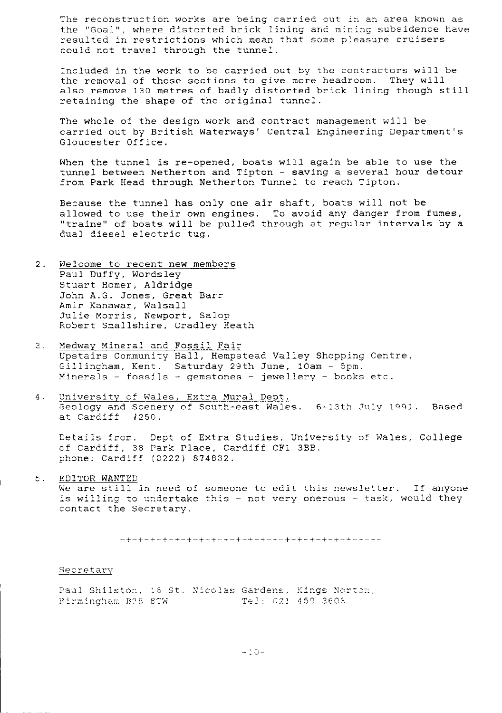The reconstruction works are being carried out in an area known as the "Goal", where distorted brick lining and mining subsidence have resulted in restrictions which mean that some pleasure cruisers could not travel through the tunnel.

Included in the work to be carried out by the contractors will be the removal of those sections to give more headroom. They will also remove 130 metres of badly distorted brick lining though still retaining the shape of the original tunnel.

The whole of the design work and contract management will be carried out by British Waterways' Central Engineering Department's Gloucester Office.

When the tunnel is re-opened, boats will again be able to use the tunnel between Netherton and Tipton - saving a several hour detou: from Park Head through Netherton Tunnel to reach Tipton.

Because the tunnel has only one air shaft, boats will not be allowed to use their own engines. To avoid any danger from fumes, "trains" of boats will be pulled through at regular intervals by a dual diesel electric tug.

- 2. Welcome to recent new members Paul Duffy, Wordsley Stuart Homer, Aldridge John A.G. Jones, Great Barr Amir Kanawar, Walsall Julie Morris, Newport, Salop Robert Smallshire, Cradley Heath
- 3. Medway *Mineral and Fossil Fair* Upstairs Community Hall, Hempstead Valley Shopping Centre, Gillingham, Kent. Saturday 29th *June, 10am - 5pm.* Minerals - fossils - gemstones - jewellery - books etc.
- 4. University of Wales, Extra Mural Dept. Geology and Scenery of South-east Wales. 6-13th July 1991. Based at Cardiff (250. at Cardiff
	- Details from; Dept of Extra Studies, University of Wales, College of Cardiff, 38 Park Place, Cardiff CF1 3BB. phone: Cardiff (0222) 874832.

# 5. EDITOR WANTED We are still in need of someone to edit this newsletter. If anyone is willing to undertake this - not very onerous - task, would they contact the Secretary.

#### Secretary

Paul Shilsto: , 16 St. N..cc,ias Gardens, Kings ";c\_ \_.\_ Birmingham B38 8TW